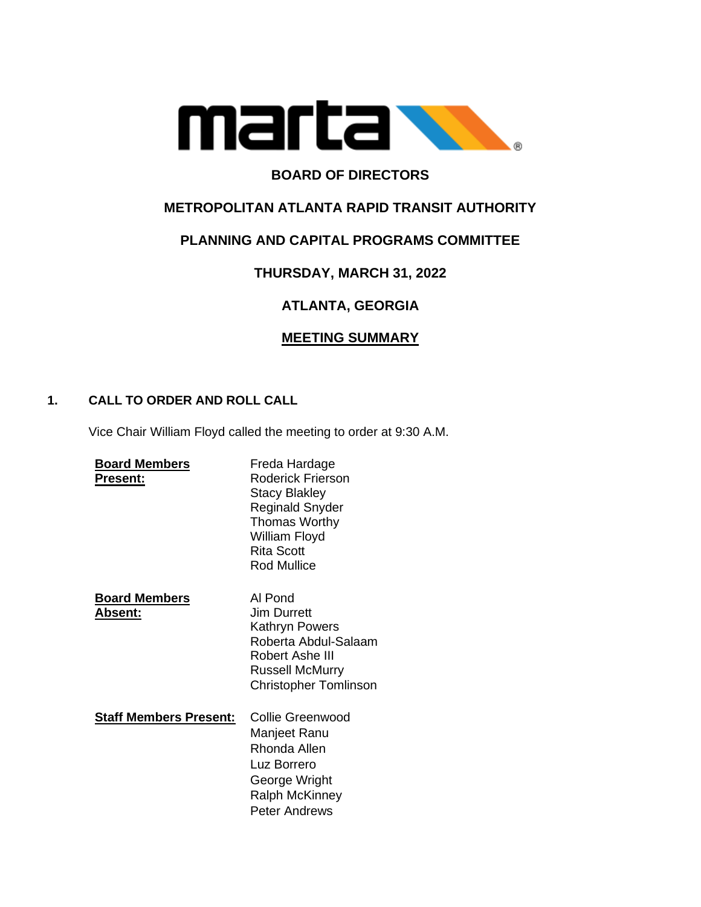

## **BOARD OF DIRECTORS**

## **METROPOLITAN ATLANTA RAPID TRANSIT AUTHORITY**

## **PLANNING AND CAPITAL PROGRAMS COMMITTEE**

## **THURSDAY, MARCH 31, 2022**

# **ATLANTA, GEORGIA**

## **MEETING SUMMARY**

### **1. CALL TO ORDER AND ROLL CALL**

Vice Chair William Floyd called the meeting to order at 9:30 A.M.

| <b>Board Members</b><br>Present:        | Freda Hardage<br><b>Roderick Frierson</b><br><b>Stacy Blakley</b><br><b>Reginald Snyder</b><br><b>Thomas Worthy</b><br>William Floyd<br>Rita Scott<br>Rod Mullice |
|-----------------------------------------|-------------------------------------------------------------------------------------------------------------------------------------------------------------------|
| <b>Board Members</b><br><u> Absent:</u> | Al Pond<br><b>Jim Durrett</b><br>Kathryn Powers<br>Roberta Abdul-Salaam<br>Robert Ashe III<br><b>Russell McMurry</b><br><b>Christopher Tomlinson</b>              |
| <u>Staff Members Present:</u>           | Collie Greenwood<br>Manjeet Ranu<br>Rhonda Allen<br>Luz Borrero<br>George Wright<br><b>Ralph McKinney</b><br>Peter Andrews                                        |